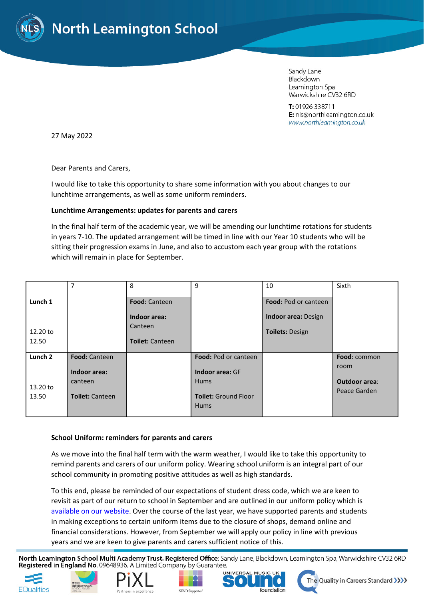

Sandy Lane Blackdown Leamington Spa Warwickshire CV32 6RD

T: 01926 338711 E: nls@northleamington.co.uk www.northleamington.co.uk

27 May 2022

Dear Parents and Carers,

I would like to take this opportunity to share some information with you about changes to our lunchtime arrangements, as well as some uniform reminders.

# **Lunchtime Arrangements: updates for parents and carers**

In the final half term of the academic year, we will be amending our lunchtime rotations for students in years 7-10. The updated arrangement will be timed in line with our Year 10 students who will be sitting their progression exams in June, and also to accustom each year group with the rotations which will remain in place for September.

|                    | $\overline{7}$         | 8                                 | 9                           | 10                         | Sixth                |
|--------------------|------------------------|-----------------------------------|-----------------------------|----------------------------|----------------------|
| Lunch 1            |                        | <b>Food: Canteen</b>              |                             | Food: Pod or canteen       |                      |
|                    |                        | Indoor area:                      |                             | <b>Indoor area: Design</b> |                      |
| 12.20 to<br>12.50  |                        | Canteen<br><b>Toilet: Canteen</b> |                             | <b>Toilets: Design</b>     |                      |
| Lunch <sub>2</sub> | Food: Canteen          |                                   | Food: Pod or canteen        |                            | Food: common         |
|                    | Indoor area:           |                                   | Indoor area: GF             |                            | room                 |
| 13.20 to           | canteen                |                                   | <b>Hums</b>                 |                            | <b>Outdoor area:</b> |
| 13.50              | <b>Toilet: Canteen</b> |                                   | <b>Toilet: Ground Floor</b> |                            | Peace Garden         |
|                    |                        |                                   | <b>Hums</b>                 |                            |                      |

## **School Uniform: reminders for parents and carers**

As we move into the final half term with the warm weather, I would like to take this opportunity to remind parents and carers of our uniform policy. Wearing school uniform is an integral part of our school community in promoting positive attitudes as well as high standards.

To this end, please be reminded of our expectations of student dress code, which we are keen to revisit as part of our return to school in September and are outlined in our uniform policy which is [available on our website.](https://www.northleamington.co.uk/parents-and-carers/uniform-policy) Over the course of the last year, we have supported parents and students in making exceptions to certain uniform items due to the closure of shops, demand online and financial considerations. However, from September we will apply our policy in line with previous years and we are keen to give parents and carers sufficient notice of this.

North Leamington School Multi Academy Trust. Registered Office: Sandy Lane, Blackdown, Leamington Spa, Warwickshire CV32 6RD Registered in England No. 09648936. A Limited Company by Guarantee.









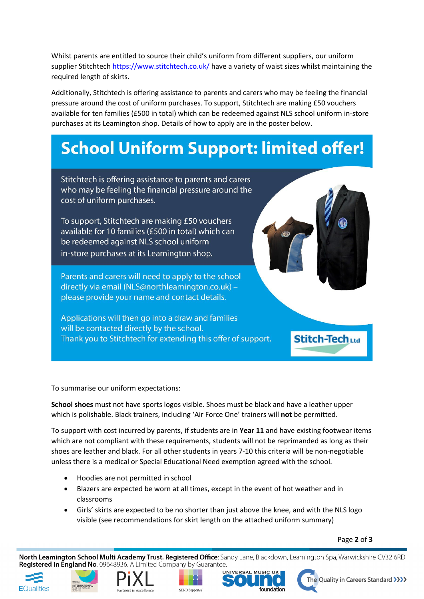Whilst parents are entitled to source their child's uniform from different suppliers, our uniform supplier Stitchtech<https://www.stitchtech.co.uk/> have a variety of waist sizes whilst maintaining the required length of skirts.

Additionally, Stitchtech is offering assistance to parents and carers who may be feeling the financial pressure around the cost of uniform purchases. To support, Stitchtech are making £50 vouchers available for ten families (£500 in total) which can be redeemed against NLS school uniform in-store purchases at its Leamington shop. Details of how to apply are in the poster below.

# **School Uniform Support: limited offer!**

Stitchtech is offering assistance to parents and carers who may be feeling the financial pressure around the cost of uniform purchases.

To support, Stitchtech are making £50 vouchers available for 10 families (£500 in total) which can be redeemed against NLS school uniform in-store purchases at its Leamington shop.

Parents and carers will need to apply to the school directly via email (NLS@northleamington.co.uk) please provide your name and contact details.

Applications will then go into a draw and families will be contacted directly by the school. Thank you to Stitchtech for extending this offer of support.

**Stitch-Tech Ltd** 

To summarise our uniform expectations:

**School shoes** must not have sports logos visible. Shoes must be black and have a leather upper which is polishable. Black trainers, including 'Air Force One' trainers will **not** be permitted.

To support with cost incurred by parents, if students are in **Year 11** and have existing footwear items which are not compliant with these requirements, students will not be reprimanded as long as their shoes are leather and black. For all other students in years 7-10 this criteria will be non-negotiable unless there is a medical or Special Educational Need exemption agreed with the school.

- Hoodies are not permitted in school
- Blazers are expected be worn at all times, except in the event of hot weather and in classrooms
- Girls' skirts are expected to be no shorter than just above the knee, and with the NLS logo visible (see recommendations for skirt length on the attached uniform summary)

Page **2** of **3**

North Leamington School Multi Academy Trust. Registered Office: Sandy Lane, Blackdown, Leamington Spa, Warwickshire CV32 6RD **Registered in England No.** 09648936. A Limited Company by Guarantee.